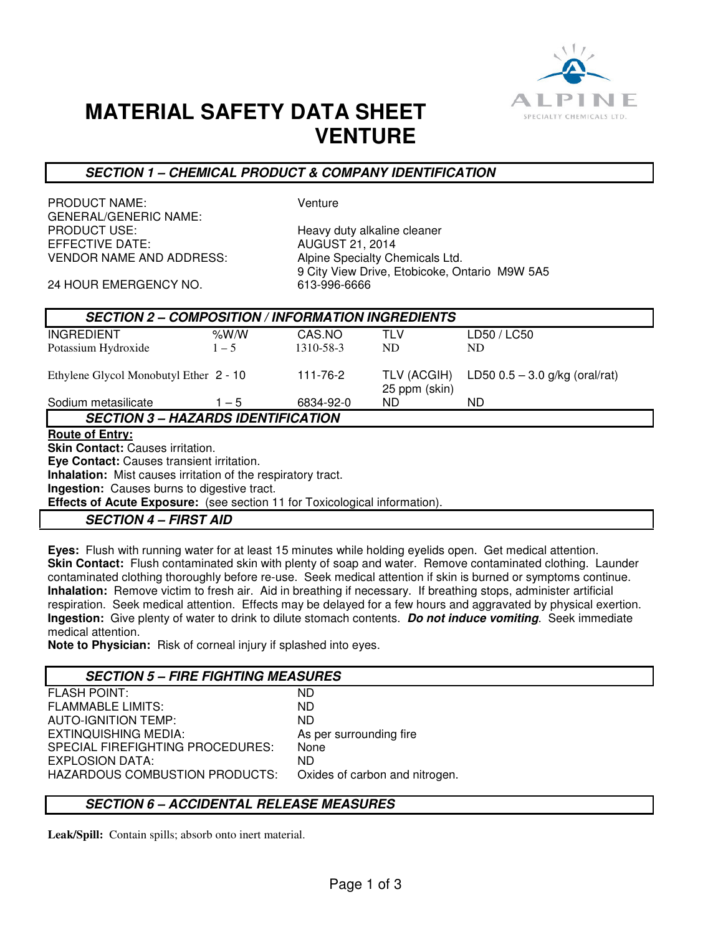

# **MATERIAL SAFETY DATA SHEET VENTURE**

### **SECTION 1 – CHEMICAL PRODUCT & COMPANY IDENTIFICATION**

PRODUCT NAME: Venture GENERAL/GENERIC NAME: PRODUCT USE: Heavy duty alkaline cleaner VENDOR NAME AND ADDRESS: Alpine Specialty Chemicals Ltd.

**AUGUST 21, 2014** 9 City View Drive, Etobicoke, Ontario M9W 5A5<br>613-996-6666

24 HOUR EMERGENCY NO.

| <b>SECTION 2 - COMPOSITION / INFORMATION INGREDIENTS</b> |         |           |                              |                                  |  |
|----------------------------------------------------------|---------|-----------|------------------------------|----------------------------------|--|
| <b>INGREDIENT</b>                                        | % $W/M$ | CAS NO    | <b>TLV</b>                   | LD50 / LC50                      |  |
| Potassium Hydroxide                                      | $1 - 5$ | 1310-58-3 | ND.                          | ND.                              |  |
| Ethylene Glycol Monobutyl Ether 2 - 10                   |         | 111-76-2  | TLV (ACGIH)<br>25 ppm (skin) | LD50 $0.5 - 3.0$ g/kg (oral/rat) |  |
| Sodium metasilicate                                      | $1 - 5$ | 6834-92-0 | ND.                          | ND.                              |  |
| <b>SECTION 3 – HAZARDS IDENTIFICATION</b>                |         |           |                              |                                  |  |
| <b>Route of Entry:</b>                                   |         |           |                              |                                  |  |

## **Skin Contact:** Causes irritation.

**Eye Contact:** Causes transient irritation.

**Inhalation:** Mist causes irritation of the respiratory tract.

**Ingestion:** Causes burns to digestive tract.

**Effects of Acute Exposure:** (see section 11 for Toxicological information).

**SECTION 4 – FIRST AID** 

**Eyes:** Flush with running water for at least 15 minutes while holding eyelids open. Get medical attention. **Skin Contact:** Flush contaminated skin with plenty of soap and water. Remove contaminated clothing. Launder contaminated clothing thoroughly before re-use. Seek medical attention if skin is burned or symptoms continue. **Inhalation:** Remove victim to fresh air. Aid in breathing if necessary. If breathing stops, administer artificial respiration. Seek medical attention. Effects may be delayed for a few hours and aggravated by physical exertion. **Ingestion:** Give plenty of water to drink to dilute stomach contents. **Do not induce vomiting**. Seek immediate medical attention.

**Note to Physician:** Risk of corneal injury if splashed into eyes.

## **SECTION 5 – FIRE FIGHTING MEASURES**

| <b>FLASH POINT:</b>              | <b>ND</b>                      |
|----------------------------------|--------------------------------|
| <b>FLAMMABLE LIMITS:</b>         | ND.                            |
| <b>AUTO-IGNITION TEMP:</b>       | ND.                            |
| EXTINQUISHING MEDIA:             | As per surrounding fire        |
| SPECIAL FIREFIGHTING PROCEDURES: | None                           |
| EXPLOSION DATA:                  | <b>ND</b>                      |
| HAZARDOUS COMBUSTION PRODUCTS:   | Oxides of carbon and nitrogen. |
|                                  |                                |

## **SECTION 6 – ACCIDENTAL RELEASE MEASURES**

**Leak/Spill:** Contain spills; absorb onto inert material.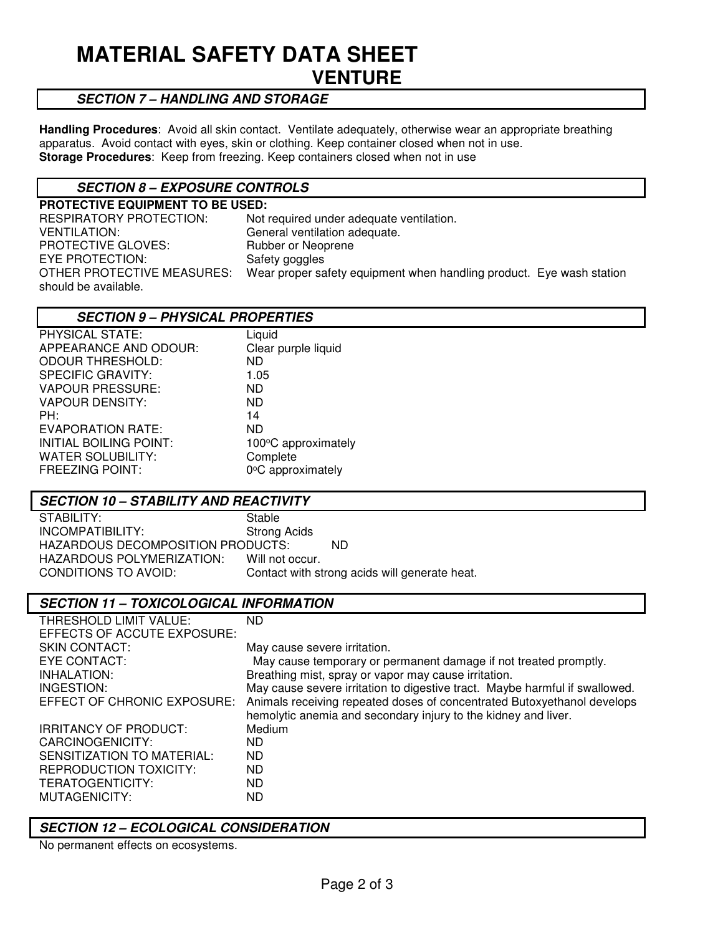## **MATERIAL SAFETY DATA SHEET VENTURE**

### **SECTION 7 – HANDLING AND STORAGE**

**Handling Procedures**: Avoid all skin contact. Ventilate adequately, otherwise wear an appropriate breathing apparatus. Avoid contact with eyes, skin or clothing. Keep container closed when not in use. **Storage Procedures**: Keep from freezing. Keep containers closed when not in use

## **SECTION 8 – EXPOSURE CONTROLS**

| <b>PROTECTIVE EQUIPMENT TO BE USED:</b>                              |
|----------------------------------------------------------------------|
| Not required under adequate ventilation.                             |
| General ventilation adequate.                                        |
| Rubber or Neoprene                                                   |
| Safety goggles                                                       |
| Wear proper safety equipment when handling product. Eye wash station |
|                                                                      |

#### **SECTION 9 – PHYSICAL PROPERTIES**

| PHYSICAL STATE:          | Liquid              |
|--------------------------|---------------------|
| APPEARANCE AND ODOUR:    | Clear purple liquid |
| <b>ODOUR THRESHOLD:</b>  | ND                  |
| <b>SPECIFIC GRAVITY:</b> | 1.05                |
| <b>VAPOUR PRESSURE:</b>  | ND                  |
| <b>VAPOUR DENSITY:</b>   | ND                  |
| PH:                      | 14                  |
| EVAPORATION RATE:        | ND                  |
| INITIAL BOILING POINT:   | 100°C approximately |
| <b>WATER SOLUBILITY:</b> | Complete            |
| <b>FREEZING POINT:</b>   | 0°C approximately   |
|                          |                     |

#### **SECTION 10 – STABILITY AND REACTIVITY**

STABILITY: Stable INCOMPATIBILITY: Strong Acids HAZARDOUS DECOMPOSITION PRODUCTS: ND HAZARDOUS POLYMERIZATION: Will not occur.<br>CONDITIONS TO AVOID: Contact with st Contact with strong acids will generate heat.

#### **SECTION 11 – TOXICOLOGICAL INFORMATION**

| THRESHOLD LIMIT VALUE:        | <b>ND</b>                                                                   |
|-------------------------------|-----------------------------------------------------------------------------|
| EFFECTS OF ACCUTE EXPOSURE:   |                                                                             |
| SKIN CONTACT:                 | May cause severe irritation.                                                |
| EYE CONTACT:                  | May cause temporary or permanent damage if not treated promptly.            |
| INHALATION:                   | Breathing mist, spray or vapor may cause irritation.                        |
| INGESTION:                    | May cause severe irritation to digestive tract. Maybe harmful if swallowed. |
| EFFECT OF CHRONIC EXPOSURE:   | Animals receiving repeated doses of concentrated Butoxyethanol develops     |
|                               | hemolytic anemia and secondary injury to the kidney and liver.              |
| <b>IRRITANCY OF PRODUCT:</b>  | Medium                                                                      |
| CARCINOGENICITY:              | ND.                                                                         |
| SENSITIZATION TO MATERIAL:    | ND.                                                                         |
| <b>REPRODUCTION TOXICITY:</b> | ND.                                                                         |
| TERATOGENTICITY:              | ND.                                                                         |
| MUTAGENICITY:                 | ND                                                                          |

#### **SECTION 12 – ECOLOGICAL CONSIDERATION**

No permanent effects on ecosystems.